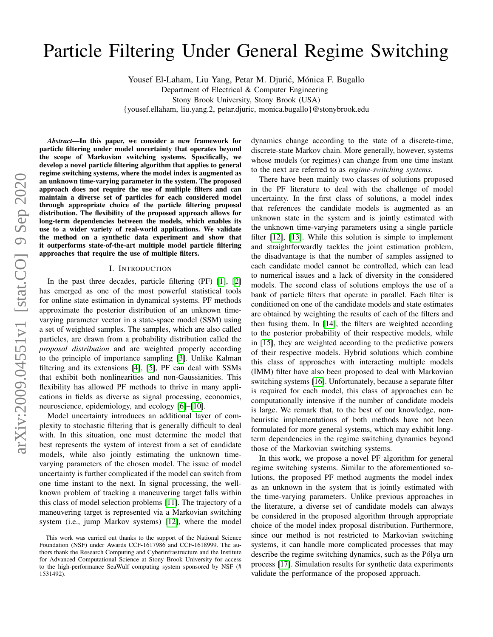# arXiv:2009.04551v1 [stat.CO] 9 Sep 2020 arXiv:2009.04551v1 [stat.CO] 9 Sep 2020

# Particle Filtering Under General Regime Switching

Yousef El-Laham, Liu Yang, Petar M. Djurić, Mónica F. Bugallo

Department of Electrical & Computer Engineering

Stony Brook University, Stony Brook (USA)

{yousef.ellaham, liu.yang.2, petar.djuric, monica.bugallo}@stonybrook.edu

*Abstract*—In this paper, we consider a new framework for particle filtering under model uncertainty that operates beyond the scope of Markovian switching systems. Specifically, we develop a novel particle filtering algorithm that applies to general regime switching systems, where the model index is augmented as an unknown time-varying parameter in the system. The proposed approach does not require the use of multiple filters and can maintain a diverse set of particles for each considered model through appropriate choice of the particle filtering proposal distribution. The flexibility of the proposed approach allows for long-term dependencies between the models, which enables its use to a wider variety of real-world applications. We validate the method on a synthetic data experiment and show that it outperforms state-of-the-art multiple model particle filtering approaches that require the use of multiple filters.

### I. INTRODUCTION

In the past three decades, particle filtering (PF) [\[1\]](#page-4-0), [\[2\]](#page-4-1) has emerged as one of the most powerful statistical tools for online state estimation in dynamical systems. PF methods approximate the posterior distribution of an unknown timevarying parameter vector in a state-space model (SSM) using a set of weighted samples. The samples, which are also called particles, are drawn from a probability distribution called the *proposal distribution* and are weighted properly according to the principle of importance sampling [\[3\]](#page-4-2). Unlike Kalman filtering and its extensions [\[4\]](#page-4-3), [\[5\]](#page-4-4), PF can deal with SSMs that exhibit both nonlinearities and non-Gaussianities. This flexibility has allowed PF methods to thrive in many applications in fields as diverse as signal processing, economics, neuroscience, epidemiology, and ecology [\[6\]](#page-4-5)–[\[10\]](#page-4-6).

Model uncertainty introduces an additional layer of complexity to stochastic filtering that is generally difficult to deal with. In this situation, one must determine the model that best represents the system of interest from a set of candidate models, while also jointly estimating the unknown timevarying parameters of the chosen model. The issue of model uncertainty is further complicated if the model can switch from one time instant to the next. In signal processing, the wellknown problem of tracking a maneuvering target falls within this class of model selection problems [\[11\]](#page-4-7). The trajectory of a maneuvering target is represented via a Markovian switching system (i.e., jump Markov systems) [\[12\]](#page-4-8), where the model dynamics change according to the state of a discrete-time, discrete-state Markov chain. More generally, however, systems whose models (or regimes) can change from one time instant to the next are referred to as *regime-switching systems*.

There have been mainly two classes of solutions proposed in the PF literature to deal with the challenge of model uncertainty. In the first class of solutions, a model index that references the candidate models is augmented as an unknown state in the system and is jointly estimated with the unknown time-varying parameters using a single particle filter [\[12\]](#page-4-8), [\[13\]](#page-4-9). While this solution is simple to implement and straightforwardly tackles the joint estimation problem, the disadvantage is that the number of samples assigned to each candidate model cannot be controlled, which can lead to numerical issues and a lack of diversity in the considered models. The second class of solutions employs the use of a bank of particle filters that operate in parallel. Each filter is conditioned on one of the candidate models and state estimates are obtained by weighting the results of each of the filters and then fusing them. In [\[14\]](#page-4-10), the filters are weighted according to the posterior probability of their respective models, while in [\[15\]](#page-4-11), they are weighted according to the predictive powers of their respective models. Hybrid solutions which combine this class of approaches with interacting multiple models (IMM) filter have also been proposed to deal with Markovian switching systems [\[16\]](#page-4-12). Unfortunately, because a separate filter is required for each model, this class of approaches can be computationally intensive if the number of candidate models is large. We remark that, to the best of our knowledge, nonheuristic implementations of both methods have not been formulated for more general systems, which may exhibit longterm dependencies in the regime switching dynamics beyond those of the Markovian switching systems.

In this work, we propose a novel PF algorithm for general regime switching systems. Similar to the aforementioned solutions, the proposed PF method augments the model index as an unknown in the system that is jointly estimated with the time-varying parameters. Unlike previous approaches in the literature, a diverse set of candidate models can always be considered in the proposed algorithm through appropriate choice of the model index proposal distribution. Furthermore, since our method is not restricted to Markovian switching systems, it can handle more complicated processes that may describe the regime switching dynamics, such as the Pólya urn process [\[17\]](#page-4-13). Simulation results for synthetic data experiments validate the performance of the proposed approach.

This work was carried out thanks to the support of the National Science Foundation (NSF) under Awards CCF-1617986 and CCF-1618999. The authors thank the Research Computing and Cyberinfrastructure and the Institute for Advanced Computational Science at Stony Brook University for access to the high-performance SeaWulf computing system sponsored by NSF (# 1531492).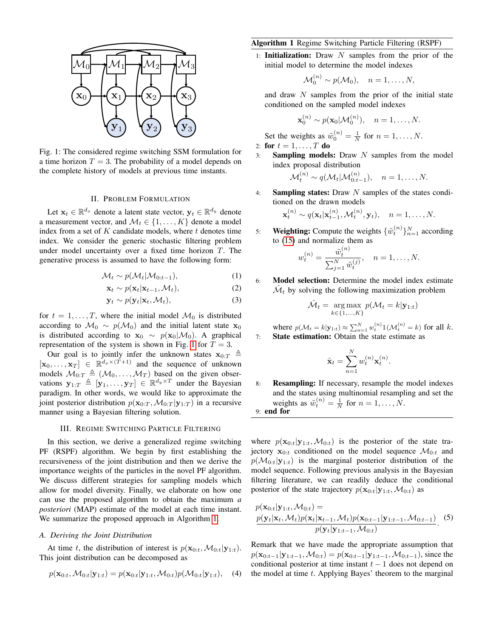<span id="page-1-0"></span>

Fig. 1: The considered regime switching SSM formulation for a time horizon  $T = 3$ . The probability of a model depends on the complete history of models at previous time instants.

### II. PROBLEM FORMULATION

Let  $\mathbf{x}_t \in \mathbb{R}^{d_x}$  denote a latent state vector,  $\mathbf{y}_t \in \mathbb{R}^{d_y}$  denote a measurement vector, and  $\mathcal{M}_t \in \{1, \ldots, K\}$  denote a model index from a set of  $K$  candidate models, where  $t$  denotes time index. We consider the generic stochastic filtering problem under model uncertainty over a fixed time horizon  $T$ . The generative process is assumed to have the following form:

$$
\mathcal{M}_t \sim p(\mathcal{M}_t | \mathcal{M}_{0:t-1}), \tag{1}
$$

$$
\mathbf{x}_t \sim p(\mathbf{x}_t | \mathbf{x}_{t-1}, \mathcal{M}_t), \tag{2}
$$

$$
\mathbf{y}_t \sim p(\mathbf{y}_t | \mathbf{x}_t, \mathcal{M}_t), \tag{3}
$$

for  $t = 1, \ldots, T$ , where the initial model  $\mathcal{M}_0$  is distributed according to  $\mathcal{M}_0 \sim p(\mathcal{M}_0)$  and the initial latent state  $\mathbf{x}_0$ is distributed according to  $\mathbf{x}_0 \sim p(\mathbf{x}_0|\mathcal{M}_0)$ . A graphical representation of the system is shown in Fig. [1](#page-1-0) for  $T = 3$ .

Our goal is to jointly infer the unknown states  $\mathbf{x}_{0:T} \triangleq$  $[\mathbf{x}_0, \dots, \mathbf{x}_T] \in \mathbb{R}^{d_x \times (T+1)}$  and the sequence of unknown models  $\mathcal{M}_{0:T} \triangleq (\mathcal{M}_0, \ldots, \mathcal{M}_T)$  based on the given observations  $\mathbf{y}_{1:T} \triangleq [\mathbf{y}_1, \dots, \mathbf{y}_T] \in \mathbb{R}^{d_y \times T}$  under the Bayesian paradigm. In other words, we would like to approximate the joint posterior distribution  $p(\mathbf{x}_{0:T}, \mathcal{M}_{0:T} | \mathbf{y}_{1:T})$  in a recursive manner using a Bayesian filtering solution.

### III. REGIME SWITCHING PARTICLE FILTERING

In this section, we derive a generalized regime switching PF (RSPF) algorithm. We begin by first establishing the recursiveness of the joint distribution and then we derive the importance weights of the particles in the novel PF algorithm. We discuss different strategies for sampling models which allow for model diversity. Finally, we elaborate on how one can use the proposed algorithm to obtain the maximum *a posteriori* (MAP) estimate of the model at each time instant. We summarize the proposed approach in Algorithm [1.](#page-1-1)

### *A. Deriving the Joint Distribution*

At time t, the distribution of interest is  $p(\mathbf{x}_{0:t}, M_{0:t}|\mathbf{y}_{1:t})$ . This joint distribution can be decomposed as

$$
p(\mathbf{x}_{0:t}, \mathcal{M}_{0:t}|\mathbf{y}_{1:t}) = p(\mathbf{x}_{0:t}|\mathbf{y}_{1:t}, \mathcal{M}_{0:t})p(\mathcal{M}_{0:t}|\mathbf{y}_{1:t}), \quad (4)
$$

# <span id="page-1-1"></span>Algorithm 1 Regime Switching Particle Filtering (RSPF)

1: **Initialization:** Draw  $N$  samples from the prior of the initial model to determine the model indexes

$$
\mathcal{M}_0^{(n)} \sim p(\mathcal{M}_0), \quad n = 1, \dots, N,
$$

and draw N samples from the prior of the initial state conditioned on the sampled model indexes

$$
\mathbf{x}_0^{(n)} \sim p(\mathbf{x}_0|\mathcal{M}_0^{(n)}), \quad n = 1, \dots, N.
$$

Set the weights as  $\tilde{w}_0^{(n)} = \frac{1}{N}$  for  $n = 1, ..., N$ . 2: for  $t = 1, ..., T$  do

3: **Sampling models:** Draw  $N$  samples from the model index proposal distribution

$$
\mathcal{M}_t^{(n)} \sim q(\mathcal{M}_t | \mathcal{M}_{0:t-1}^{(n)}), \quad n = 1, \ldots, N.
$$

4: Sampling states: Draw N samples of the states conditioned on the drawn models

$$
\mathbf{x}_t^{(n)} \sim q(\mathbf{x}_t|\mathbf{x}_{t-1}^{(n)}, \mathcal{M}_t^{(n)}, \mathbf{y}_t), \quad n = 1, \dots, N.
$$

5: Weighting: Compute the weights  $\{\tilde{w}_t^{(n)}\}_{n=1}^N$  according to [\(15\)](#page-2-0) and normalize them as

$$
w_t^{(n)} = \frac{\tilde{w}_t^{(n)}}{\sum_{j=1}^N \tilde{w}_t^{(j)}}, \quad n = 1, \dots, N.
$$

6: Model selection: Determine the model index estimate  $\hat{\mathcal{M}}_t$  by solving the following maximization problem

$$
\hat{\mathcal{M}}_t = \underset{k \in \{1, \dots, K\}}{\arg \max} p(\mathcal{M}_t = k | \mathbf{y}_{1:t})
$$

where  $p(\mathcal{M}_t = k|\mathbf{y}_{1:t}) \approx \sum_{n=1}^{N} w_t^{(n)} \mathbb{I}(\mathcal{M}_t^{(n)} = k)$  for all k. 7: State estimation: Obtain the state estimate as

$$
\hat{\mathbf{x}}_t = \sum_{n=1}^N w_t^{(n)} \mathbf{x}_t^{(n)}.
$$

8: Resampling: If necessary, resample the model indexes and the states using multinomial resampling and set the weights as  $\tilde{w}_t^{(n)} = \frac{1}{N}$  for  $n = 1, ..., N$ . 9: end for

where  $p(\mathbf{x}_{0:t}|\mathbf{y}_{1:t},\mathcal{M}_{0:t})$  is the posterior of the state trajectory  $x_{0:t}$  conditioned on the model sequence  $\mathcal{M}_{0:t}$  and  $p(\mathcal{M}_{0:t}|\mathbf{y}_{1:t})$  is the marginal posterior distribution of the model sequence. Following previous analysis in the Bayesian filtering literature, we can readily deduce the conditional posterior of the state trajectory  $p(\mathbf{x}_{0:t}|\mathbf{y}_{1:t},\mathcal{M}_{0:t})$  as

$$
p(\mathbf{x}_{0:t}|\mathbf{y}_{1:t}, \mathcal{M}_{0:t}) =
$$
  
\n
$$
\frac{p(\mathbf{y}_t|\mathbf{x}_t, \mathcal{M}_t)p(\mathbf{x}_t|\mathbf{x}_{t-1}, \mathcal{M}_t)p(\mathbf{x}_{0:t-1}|\mathbf{y}_{1:t-1}, \mathcal{M}_{0:t-1})}{p(\mathbf{y}_t|\mathbf{y}_{1:t-1}, \mathcal{M}_{0:t})}.
$$
 (5)

Remark that we have made the appropriate assumption that  $p(\mathbf{x}_{0:t-1}|\mathbf{y}_{1:t-1},\mathcal{M}_{0:t}) = p(\mathbf{x}_{0:t-1}|\mathbf{y}_{1:t-1},\mathcal{M}_{0:t-1}),$  since the conditional posterior at time instant  $t - 1$  does not depend on the model at time  $t$ . Applying Bayes' theorem to the marginal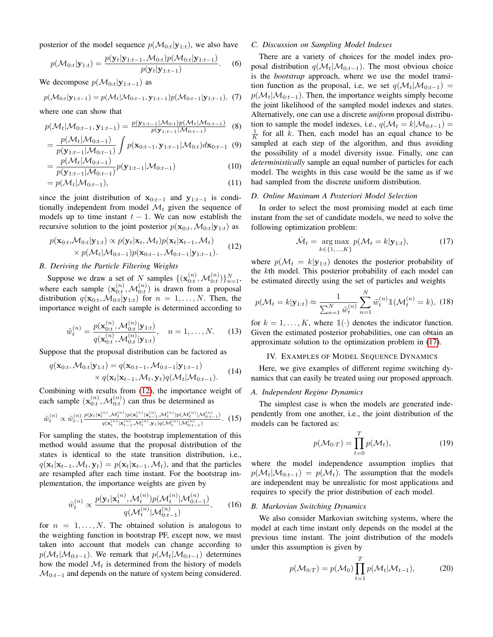posterior of the model sequence  $p(\mathcal{M}_{0:t}|\mathbf{y}_{1:t})$ , we also have

$$
p(\mathcal{M}_{0:t}|\mathbf{y}_{1:t}) = \frac{p(\mathbf{y}_t|\mathbf{y}_{1:t-1}, \mathcal{M}_{0:t})p(\mathcal{M}_{0:t}|\mathbf{y}_{1:t-1})}{p(\mathbf{y}_t|\mathbf{y}_{1:t-1})}.
$$
 (6)

We decompose  $p(\mathcal{M}_{0:t}|y_{1:t-1})$  as

$$
p(\mathcal{M}_{0:t}|\mathbf{y}_{1:t-1}) = p(\mathcal{M}_t|\mathcal{M}_{0:t-1}, \mathbf{y}_{1:t-1})p(\mathcal{M}_{0:t-1}|\mathbf{y}_{1:t-1}), (7)
$$

where one can show that

$$
p(\mathcal{M}_t | \mathcal{M}_{0:t-1}, \mathbf{y}_{1:t-1}) = \frac{p(\mathbf{y}_{1:t-1} | \mathcal{M}_{0:t}) p(\mathcal{M}_t | \mathcal{M}_{0:t-1})}{p(\mathbf{y}_{1:t-1} | \mathcal{M}_{0:t-1})}
$$
(8)

$$
= \frac{p(\mathcal{M}_t | \mathcal{M}_{0:t-1})}{p(\mathbf{y}_{1:t-1} | \mathcal{M}_{0:t-1})} \int p(\mathbf{x}_{0:t-1}, \mathbf{y}_{1:t-1} | \mathcal{M}_{0:t}) d\mathbf{x}_{0:t-1} \tag{9}
$$

$$
= \frac{p(\mathcal{M}_t | \mathcal{M}_{0:t-1})}{p(\mathbf{y}_{1:t-1} | \mathcal{M}_{0:t-1})} p(\mathbf{y}_{1:t-1} | \mathcal{M}_{0:t-1})
$$
(10)

$$
=p(\mathcal{M}_t|\mathcal{M}_{0:t-1}),\tag{11}
$$

since the joint distribution of  $\mathbf{x}_{0:t-1}$  and  $\mathbf{y}_{1:t-1}$  is conditionally independent from model  $\mathcal{M}_t$  given the sequence of models up to time instant  $t - 1$ . We can now establish the recursive solution to the joint posterior  $p(\mathbf{x}_{0:t}, M_{0:t}|\mathbf{y}_{1:t})$  as

$$
p(\mathbf{x}_{0:t}, \mathcal{M}_{0:t}|\mathbf{y}_{1:t}) \propto p(\mathbf{y}_t|\mathbf{x}_t, \mathcal{M}_t) p(\mathbf{x}_t|\mathbf{x}_{t-1}, \mathcal{M}_t) \times p(\mathcal{M}_t|\mathcal{M}_{0:t-1}) p(\mathbf{x}_{0:t-1}, \mathcal{M}_{0:t-1}|\mathbf{y}_{1:t-1}).
$$
\n(12)

# *B. Deriving the Particle Filtering Weights*

Suppose we draw a set of N samples  $\{(\mathbf{x}_{0:t}^{(n)}, \mathcal{M}_{0:t}^{(n)})\}_{n=1}^N$ , where each sample  $(\mathbf{x}_{0:t}^{(n)}, \mathcal{M}_{0:t}^{(n)})$  is drawn from a proposal distribution  $q(\mathbf{x}_{0:t},\mathcal{M}_{0:t}|\mathbf{y}_{1:t})$  for  $n=1,\ldots,N$ . Then, the importance weight of each sample is determined according to

$$
\tilde{w}_t^{(n)} = \frac{p(\mathbf{x}_{0:t}^{(n)}, \mathcal{M}_{0:t}^{(n)} | \mathbf{y}_{1:t})}{q(\mathbf{x}_{0:t}^{(n)}, \mathcal{M}_{0:t}^{(n)} | \mathbf{y}_{1:t})}, \quad n = 1, \dots, N. \tag{13}
$$

Suppose that the proposal distribution can be factored as

$$
q(\mathbf{x}_{0:t}, \mathcal{M}_{0:t}|\mathbf{y}_{1:t}) = q(\mathbf{x}_{0:t-1}, \mathcal{M}_{0:t-1}|\mathbf{y}_{1:t-1})
$$
  
 
$$
\times q(\mathbf{x}_t|\mathbf{x}_{t-1}, \mathcal{M}_t, \mathbf{y}_t)q(\mathcal{M}_t|\mathcal{M}_{0:t-1}).
$$
 (14)

Combining with results from [\(12\)](#page-2-1), the importance weight of each sample  $(\mathbf{x}_{0:t}^{(n)}, \mathcal{M}_{0:t}^{(n)})$  can thus be determined as

$$
\tilde{w}_{t}^{(n)} \propto \tilde{w}_{t-1}^{(n)} \frac{p(\mathbf{y}_{t}|\mathbf{x}_{t}^{(n)}, \mathcal{M}_{t}^{(n)})p(\mathbf{x}_{t}^{(n)}|\mathbf{x}_{t-1}^{(n)}, \mathcal{M}_{t}^{(n)})p(\mathcal{M}_{t}^{(n)}|\mathcal{M}_{0:t-1}^{(n)})}{q(\mathbf{x}_{t}^{(n)}|\mathbf{x}_{t-1}^{(n)}, \mathcal{M}_{t}^{(n)}\mathbf{y}_{t})q(\mathcal{M}_{t}^{(n)}|\mathcal{M}_{0:t-1}^{(n)})}.\tag{15}
$$

For sampling the states, the bootstrap implementation of this method would assume that the proposal distribution of the states is identical to the state transition distribution, i.e.,  $q(\mathbf{x}_t|\mathbf{x}_{t-1},\mathcal{M}_t, \mathbf{y}_t) = p(\mathbf{x}_t|\mathbf{x}_{t-1},\mathcal{M}_t)$ , and that the particles are resampled after each time instant. For the bootstrap implementation, the importance weights are given by

$$
\tilde{w}_t^{(n)} \propto \frac{p(\mathbf{y}_t|\mathbf{x}_t^{(n)}, \mathcal{M}_t^{(n)})p(\mathcal{M}_t^{(n)}|\mathcal{M}_{0:t-1}^{(n)})}{q(\mathcal{M}_t^{(n)}|\mathcal{M}_{0:t-1}^{(n)})},\qquad(16)
$$

for  $n = 1, \ldots, N$ . The obtained solution is analogous to the weighting function in bootstrap PF, except now, we must taken into account that models can change according to  $p(\mathcal{M}_t|\mathcal{M}_{0:t-1})$ . We remark that  $p(\mathcal{M}_t|\mathcal{M}_{0:t-1})$  determines how the model  $\mathcal{M}_t$  is determined from the history of models  $\mathcal{M}_{0:t-1}$  and depends on the nature of system being considered.

### *C. Discussion on Sampling Model Indexes*

There are a variety of choices for the model index proposal distribution  $q(\mathcal{M}_t|\mathcal{M}_{0:t-1})$ . The most obvious choice is the *bootstrap* approach, where we use the model transition function as the proposal, i.e, we set  $q(\mathcal{M}_t|\mathcal{M}_{0:t-1})$  =  $p(\mathcal{M}_t|\mathcal{M}_{0:t-1})$ . Then, the importance weights simply become the joint likelihood of the sampled model indexes and states. Alternatively, one can use a discrete *uniform* proposal distribution to sample the model indexes, i.e.,  $q(\mathcal{M}_t = k | \mathcal{M}_{0:t-1}) =$  $\frac{1}{K}$  for all k. Then, each model has an equal chance to be sampled at each step of the algorithm, and thus avoiding the possibility of a model diversity issue. Finally, one can *deterministically* sample an equal number of particles for each model. The weights in this case would be the same as if we had sampled from the discrete uniform distribution.

### *D. Online Maximum A Posteriori Model Selection*

<span id="page-2-1"></span>In order to select the most promising model at each time instant from the set of candidate models, we need to solve the following optimization problem:

<span id="page-2-2"></span>
$$
\hat{\mathcal{M}}_t = \underset{k \in \{1, \dots, K\}}{\arg \max} p(\mathcal{M}_t = k | \mathbf{y}_{1:t}), \tag{17}
$$

where  $p(\mathcal{M}_t = k|\mathbf{y}_{1:t})$  denotes the posterior probability of the kth model. This posterior probability of each model can be estimated directly using the set of particles and weights

$$
p(\mathcal{M}_t = k | \mathbf{y}_{1:t}) \approx \frac{1}{\sum_{n=1}^{N} \tilde{w}_t^{(n)}} \sum_{n=1}^{N} \tilde{w}_t^{(n)} \mathbb{1}(\mathcal{M}_t^{(n)} = k), \tag{18}
$$

for  $k = 1, \ldots, K$ , where  $\mathbb{1}(\cdot)$  denotes the indicator function. Given the estimated posterior probabilities, one can obtain an approximate solution to the optimization problem in [\(17\)](#page-2-2).

### IV. EXAMPLES OF MODEL SEQUENCE DYNAMICS

Here, we give examples of different regime switching dynamics that can easily be treated using our proposed approach.

# <span id="page-2-0"></span>*A. Independent Regime Dynamics*

The simplest case is when the models are generated independently from one another, i.e., the joint distribution of the models can be factored as:

$$
p(\mathcal{M}_{0:T}) = \prod_{t=0}^{T} p(\mathcal{M}_t), \qquad (19)
$$

where the model independence assumption implies that  $p(\mathcal{M}_t|\mathcal{M}_{0:t-1}) = p(\mathcal{M}_t)$ . The assumption that the models are independent may be unrealistic for most applications and requires to specify the prior distribution of each model.

### *B. Markovian Switching Dynamics*

We also consider Markovian switching systems, where the model at each time instant only depends on the model at the previous time instant. The joint distribution of the models under this assumption is given by

$$
p(\mathcal{M}_{0:T}) = p(\mathcal{M}_0) \prod_{t=1}^T p(\mathcal{M}_t | \mathcal{M}_{t-1}),
$$
 (20)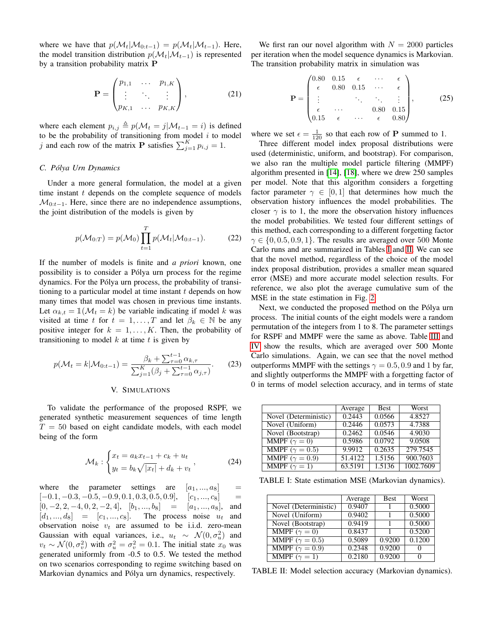where we have that  $p(\mathcal{M}_t|\mathcal{M}_{0:t-1}) = p(\mathcal{M}_t|\mathcal{M}_{t-1})$ . Here, the model transition distribution  $p(\mathcal{M}_t|\mathcal{M}_{t-1})$  is represented by a transition probability matrix P

$$
\mathbf{P} = \begin{pmatrix} p_{1,1} & \cdots & p_{1,K} \\ \vdots & \ddots & \vdots \\ p_{K,1} & \cdots & p_{K,K} \end{pmatrix},
$$
 (21)

where each element  $p_{i,j} \triangleq p(\mathcal{M}_t = j | \mathcal{M}_{t-1} = i)$  is defined to be the probability of transitioning from model  $i$  to model j and each row of the matrix **P** satisfies  $\sum_{j=1}^{K} p_{i,j} = 1$ .

### *C. Pólya Urn Dynamics*

Under a more general formulation, the model at a given time instant  $t$  depends on the complete sequence of models  $\mathcal{M}_{0:t-1}$ . Here, since there are no independence assumptions, the joint distribution of the models is given by

$$
p(\mathcal{M}_{0:T}) = p(\mathcal{M}_0) \prod_{t=1}^{T} p(\mathcal{M}_t | \mathcal{M}_{0:t-1}).
$$
 (22)

If the number of models is finite and *a priori* known, one possibility is to consider a Pólya urn process for the regime dynamics. For the Pólya urn process, the probability of transitioning to a particular model at time instant  $t$  depends on how many times that model was chosen in previous time instants. Let  $\alpha_{k,t} = \mathbb{1}(\mathcal{M}_t = k)$  be variable indicating if model k was visited at time t for  $t = 1, ..., T$  and let  $\beta_k \in \mathbb{N}$  be any positive integer for  $k = 1, ..., K$ . Then, the probability of transitioning to model  $k$  at time  $t$  is given by

$$
p(\mathcal{M}_t = k | \mathcal{M}_{0:t-1}) = \frac{\beta_k + \sum_{\tau=0}^{t-1} \alpha_{k,\tau}}{\sum_{j=1}^K (\beta_j + \sum_{\tau=0}^{t-1} \alpha_{j,\tau})}.
$$
 (23)

### V. SIMULATIONS

To validate the performance of the proposed RSPF, we generated synthetic measurement sequences of time length  $T = 50$  based on eight candidate models, with each model being of the form

$$
\mathcal{M}_k: \begin{cases} x_t = a_k x_{t-1} + c_k + u_t \\ y_t = b_k \sqrt{|x_t|} + d_k + v_t \end{cases}, \tag{24}
$$

where the parameter settings are  $[a_1, ..., a_8]$  =  $[-0.1, -0.3, -0.5, -0.9, 0.1, 0.3, 0.5, 0.9],$   $[c_1, ..., c_8]$  =  $[0, -2, 2, -4, 0, 2, -2, 4], [b_1, ..., b_8] = [a_1, ..., a_8],$  and  $[d_1, ..., d_8] = [c_1, ..., c_8]$ . The process noise  $u_t$  and observation noise  $v_t$  are assumed to be i.i.d. zero-mean Gaussian with equal variances, i.e.,  $u_t \sim \mathcal{N}(0, \sigma_u^2)$  and  $v_t \sim \mathcal{N}(0, \sigma_v^2)$  with  $\sigma_u^2 = \sigma_v^2 = 0.1$ . The initial state  $x_0$  was generated uniformly from -0.5 to 0.5. We tested the method on two scenarios corresponding to regime switching based on Markovian dynamics and Pólya urn dynamics, respectively.

We first ran our novel algorithm with  $N = 2000$  particles per iteration when the model sequence dynamics is Markovian. The transition probability matrix in simulation was

$$
\mathbf{P} = \begin{pmatrix} 0.80 & 0.15 & \epsilon & \cdots & \epsilon \\ \epsilon & 0.80 & 0.15 & \cdots & \epsilon \\ \vdots & \ddots & \ddots & \vdots \\ \epsilon & \cdots & 0.80 & 0.15 \\ 0.15 & \epsilon & \cdots & \epsilon & 0.80 \end{pmatrix}, \tag{25}
$$

where we set  $\epsilon = \frac{1}{120}$  so that each row of **P** summed to 1.

Three different model index proposal distributions were used (deterministic, uniform, and bootstrap). For comparison, we also ran the multiple model particle filtering (MMPF) algorithm presented in [\[14\]](#page-4-10), [\[18\]](#page-4-14), where we drew 250 samples per model. Note that this algorithm considers a forgetting factor parameter  $\gamma \in [0, 1]$  that determines how much the observation history influences the model probabilities. The closer  $\gamma$  is to 1, the more the observation history influences the model probabilities. We tested four different settings of this method, each corresponding to a different forgetting factor  $\gamma \in \{0, 0.5, 0.9, 1\}$ . The results are averaged over 500 Monte Carlo runs and are summarized in Tables [I](#page-3-0) and [II.](#page-3-1) We can see that the novel method, regardless of the choice of the model index proposal distribution, provides a smaller mean squared error (MSE) and more accurate model selection results. For reference, we also plot the average cumulative sum of the MSE in the state estimation in Fig. [2.](#page-4-15)

Next, we conducted the proposed method on the Pólya urn process. The initial counts of the eight models were a random permutation of the integers from 1 to 8. The parameter settings for RSPF and MMPF were the same as above. Table [III](#page-4-16) and [IV](#page-4-17) show the results, which are averaged over 500 Monte Carlo simulations. Again, we can see that the novel method outperforms MMPF with the settings  $\gamma = 0.5, 0.9$  and 1 by far, and slightly outperforms the MMPF with a forgetting factor of 0 in terms of model selection accuracy, and in terms of state

<span id="page-3-0"></span>

|                         | Average | <b>Best</b> | Worst     |
|-------------------------|---------|-------------|-----------|
| Novel (Deterministic)   | 0.2443  | 0.0566      | 4.8527    |
| Novel (Uniform)         | 0.2446  | 0.0573      | 4.7388    |
| Novel (Bootstrap)       | 0.2462  | 0.0546      | 4.9030    |
| MMPF $(\gamma = 0)$     | 0.5986  | 0.0792      | 9.0508    |
| MMPF ( $\gamma = 0.5$ ) | 9.9912  | 0.2635      | 279.7545  |
| MMPF ( $\gamma = 0.9$ ) | 51.4122 | 1.5156      | 900.7603  |
| MMPF $(\gamma = 1)$     | 63.5191 | 1.5136      | 1002.7609 |

<span id="page-3-1"></span>TABLE I: State estimation MSE (Markovian dynamics).

|                                      | Average | <b>Best</b> | Worst  |
|--------------------------------------|---------|-------------|--------|
| Novel (Deterministic)                | 0.9407  |             | 0.5000 |
| Novel (Uniform)                      | 0.9402  |             | 0.5000 |
| Novel (Bootstrap)                    | 0.9419  |             | 0.5000 |
| $\overline{\text{MMPF}}(\gamma = 0)$ | 0.8437  | 1           | 0.5200 |
| MMPF ( $\gamma = 0.5$ )              | 0.5089  | 0.9200      | 0.1200 |
| MMPF $(\gamma = 0.9)$                | 0.2348  | 0.9200      |        |
| MMPF $(\gamma = 1)$                  | 0.2180  | 0.9200      |        |

TABLE II: Model selection accuracy (Markovian dynamics).